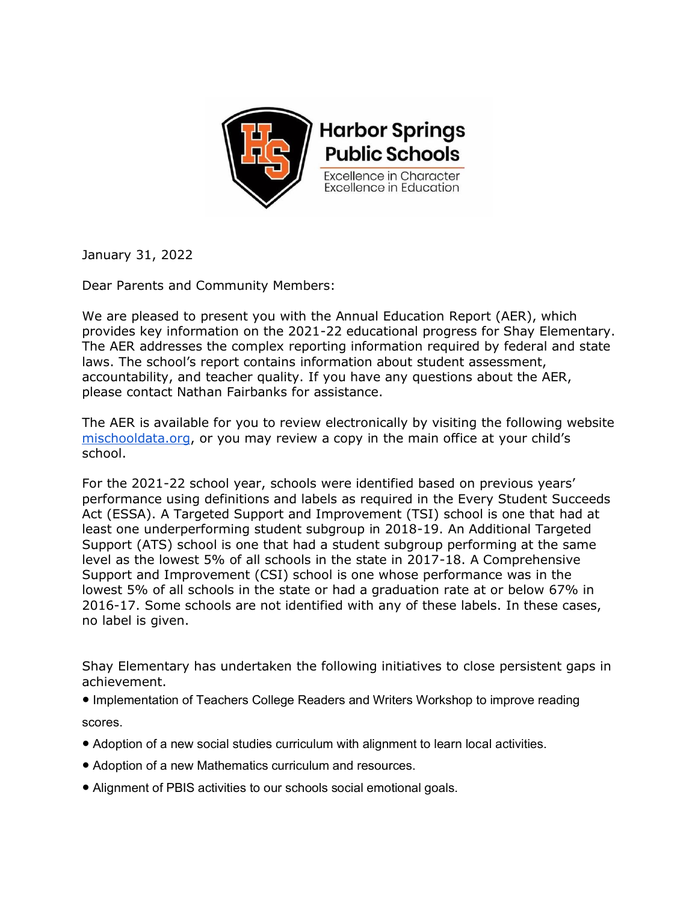

January 31, 2022

Dear Parents and Community Members:

We are pleased to present you with the Annual Education Report (AER), which provides key information on the 2021-22 educational progress for Shay Elementary. The AER addresses the complex reporting information required by federal and state laws. The school's report contains information about student assessment, accountability, and teacher quality. If you have any questions about the AER, please contact Nathan Fairbanks for assistance.

The AER is available for you to review electronically by visiting the following website [mischooldata.org,](https://www.mischooldata.org/annual-education-report-1?Common_Locations=1-S,7912,1205,71) or you may review a copy in the main office at your child's school.

For the 2021-22 school year, schools were identified based on previous years' performance using definitions and labels as required in the Every Student Succeeds Act (ESSA). A Targeted Support and Improvement (TSI) school is one that had at least one underperforming student subgroup in 2018-19. An Additional Targeted Support (ATS) school is one that had a student subgroup performing at the same level as the lowest 5% of all schools in the state in 2017-18. A Comprehensive Support and Improvement (CSI) school is one whose performance was in the lowest 5% of all schools in the state or had a graduation rate at or below 67% in 2016-17. Some schools are not identified with any of these labels. In these cases, no label is given.

Shay Elementary has undertaken the following initiatives to close persistent gaps in achievement.

● Implementation of Teachers College Readers and Writers Workshop to improve reading scores.

- Adoption of a new social studies curriculum with alignment to learn local activities.
- Adoption of a new Mathematics curriculum and resources.
- Alignment of PBIS activities to our schools social emotional goals.